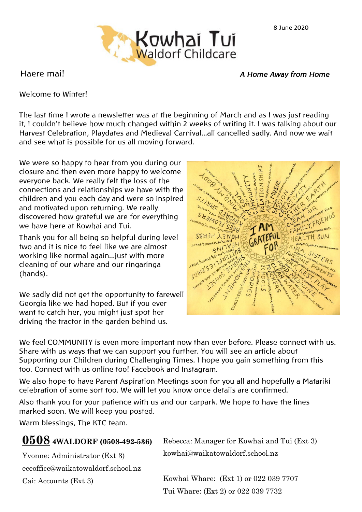

Haere mai! *A Home Away from Home*

Welcome to Winter!

The last time I wrote a newsletter was at the beginning of March and as I was just reading it, I couldn't believe how much changed within 2 weeks of writing it. I was talking about our Harvest Celebration, Playdates and Medieval Carnival...all cancelled sadly. And now we wait and see what is possible for us all moving forward.

We were so happy to hear from you during our closure and then even more happy to welcome everyone back. We really felt the loss of the connections and relationships we have with the children and you each day and were so inspired and motivated upon returning. We really discovered how grateful we are for everything we have here at Kowhai and Tui.

Thank you for all being so helpful during level two and it is nice to feel like we are almost working like normal again...just with more cleaning of our whare and our ringaringa (hands).

We sadly did not get the opportunity to farewell Georgia like we had hoped. But if you ever want to catch her, you might just spot her driving the tractor in the garden behind us.



We feel COMMUNITY is even more important now than ever before. Please connect with us. Share with us ways that we can support you further. You will see an article about Supporting our Children during Challenging Times. I hope you gain something from this too. Connect with us online too! Facebook and Instagram.

We also hope to have Parent Aspiration Meetings soon for you all and hopefully a Matariki celebration of some sort too. We will let you know once details are confirmed.

Also thank you for your patience with us and our carpark. We hope to have the lines marked soon. We will keep you posted.

Warm blessings, The KTC team.

| 0508 4WALDORF (0508-492-536)       | Rebecca: Manager for Kowhai and Tui (Ext 3) |
|------------------------------------|---------------------------------------------|
| Yvonne: Administrator (Ext 3)      | kowhai@waikatowaldorf.school.nz             |
| eceoffice@waikatowaldorf.school.nz |                                             |
| Cai: Accounts (Ext 3)              | Kowhai Whare: (Ext 1) or 022 039 7707       |
|                                    | Tui Whare: (Ext 2) or 022 039 7732          |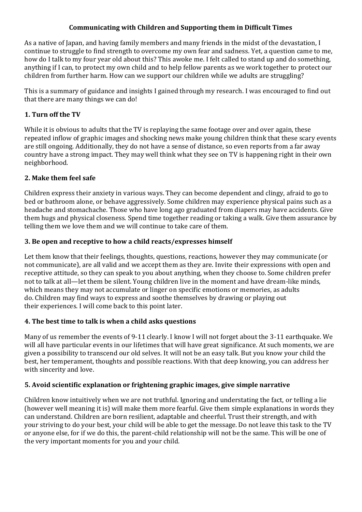### **Communicating with Children and Supporting them in Difficult Times**

As a native of Japan, and having family members and many friends in the midst of the devastation, I continue to struggle to find strength to overcome my own fear and sadness. Yet, a question came to me, how do I talk to my four year old about this? This awoke me. I felt called to stand up and do something, anything if I can, to protect my own child and to help fellow parents as we work together to protect our children from further harm. How can we support our children while we adults are struggling?

This is a summary of guidance and insights I gained through my research. I was encouraged to find out that there are many things we can do!

### **1. Turn off the TV**

While it is obvious to adults that the TV is replaying the same footage over and over again, these repeated inflow of graphic images and shocking news make young children think that these scary events are still ongoing. Additionally, they do not have a sense of distance, so even reports from a far away country have a strong impact. They may well think what they see on TV is happening right in their own neighborhood.

### **2. Make them feel safe**

Children express their anxiety in various ways. They can become dependent and clingy, afraid to go to bed or bathroom alone, or behave aggressively. Some children may experience physical pains such as a headache and stomachache. Those who have long ago graduated from diapers may have accidents. Give them hugs and physical closeness. Spend time together reading or taking a walk. Give them assurance by telling them we love them and we will continue to take care of them.

### **3. Be open and receptive to how a child reacts/expresses himself**

Let them know that their feelings, thoughts, questions, reactions, however they may communicate (or not communicate), are all valid and we accept them as they are. Invite their expressions with open and receptive attitude, so they can speak to you about anything, when they choose to. Some children prefer not to talk at all—let them be silent. Young children live in the moment and have dream-like minds, which means they may not accumulate or linger on specific emotions or memories, as adults do. Children may find ways to express and soothe themselves by drawing or playing out their experiences. I will come back to this point later.

## **4. The best time to talk is when a child asks questions**

Many of us remember the events of 9-11 clearly. I know I will not forget about the 3-11 earthquake. We will all have particular events in our lifetimes that will have great significance. At such moments, we are given a possibility to transcend our old selves. It will not be an easy talk. But you know your child the best, her temperament, thoughts and possible reactions. With that deep knowing, you can address her with sincerity and love.

#### **5. Avoid scientific explanation or frightening graphic images, give simple narrative**

Children know intuitively when we are not truthful. Ignoring and understating the fact, or telling a lie (however well meaning it is) will make them more fearful. Give them simple explanations in words they can understand. Children are born resilient, adaptable and cheerful. Trust their strength, and with your striving to do your best, your child will be able to get the message. Do not leave this task to the TV or anyone else, for if we do this, the parent-child relationship will not be the same. This will be one of the very important moments for you and your child.